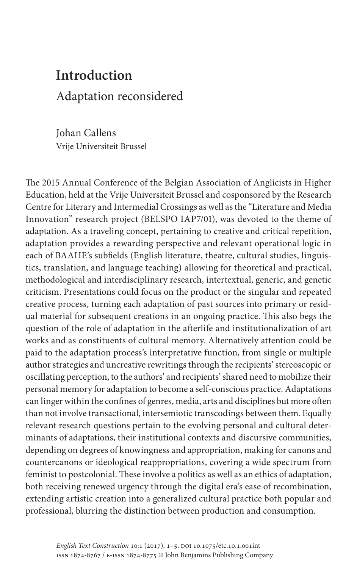## **Introduction**

## Adaptation reconsidered

Johan Callens Vrije Universiteit Brussel

The 2015 Annual Conference of the Belgian Association of Anglicists in Higher Education, held at the Vrije Universiteit Brussel and cosponsored by the Research Centre for Literary and Intermedial Crossings as well as the "Literature and Media Innovation" research project (BELSPO IAP7/01), was devoted to the theme of adaptation. As a traveling concept, pertaining to creative and critical repetition, adaptation provides a rewarding perspective and relevant operational logic in each of BAAHE's subfields (English literature, theatre, cultural studies, linguistics, translation, and language teaching) allowing for theoretical and practical, methodological and interdisciplinary research, intertextual, generic, and genetic criticism. Presentations could focus on the product or the singular and repeated creative process, turning each adaptation of past sources into primary or residual material for subsequent creations in an ongoing practice. This also begs the question of the role of adaptation in the afterlife and institutionalization of art works and as constituents of cultural memory. Alternatively attention could be paid to the adaptation process's interpretative function, from single or multiple author strategies and uncreative rewritings through the recipients' stereoscopic or oscillating perception, to the authors' and recipients' shared need to mobilize their personal memory for adaptation to become a self-conscious practice. Adaptations can linger within the confines of genres, media, arts and disciplines but more often than not involve transactional, intersemiotic transcodings between them. Equally relevant research questions pertain to the evolving personal and cultural determinants of adaptations, their institutional contexts and discursive communities, depending on degrees of knowingness and appropriation, making for canons and countercanons or ideological reappropriations, covering a wide spectrum from feminist to postcolonial. These involve a politics as well as an ethics of adaptation, both receiving renewed urgency through the digital era's ease of recombination, extending artistic creation into a generalized cultural practice both popular and professional, blurring the distinction between production and consumption.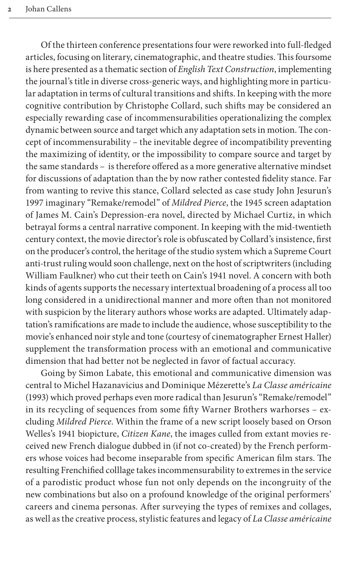Of the thirteen conference presentations four were reworked into full-fledged articles, focusing on literary, cinematographic, and theatre studies. This foursome is here presented as a thematic section of *English Text Construction*, implementing the journal's title in diverse cross-generic ways, and highlighting more in particular adaptation in terms of cultural transitions and shifts. In keeping with the more cognitive contribution by Christophe Collard, such shifts may be considered an especially rewarding case of incommensurabilities operationalizing the complex dynamic between source and target which any adaptation sets in motion. The concept of incommensurability – the inevitable degree of incompatibility preventing the maximizing of identity, or the impossibility to compare source and target by the same standards – is therefore offered as a more generative alternative mindset for discussions of adaptation than the by now rather contested fidelity stance. Far from wanting to revive this stance, Collard selected as case study John Jesurun's 1997 imaginary "Remake/remodel" of *Mildred Pierce*, the 1945 screen adaptation of James M. Cain's Depression-era novel, directed by Michael Curtiz, in which betrayal forms a central narrative component. In keeping with the mid-twentieth century context, the movie director's role is obfuscated by Collard's insistence, first on the producer's control, the heritage of the studio system which a Supreme Court anti-trust ruling would soon challenge, next on the host of scriptwriters (including William Faulkner) who cut their teeth on Cain's 1941 novel. A concern with both kinds of agents supports the necessary intertextual broadening of a process all too long considered in a unidirectional manner and more often than not monitored with suspicion by the literary authors whose works are adapted. Ultimately adaptation's ramifications are made to include the audience, whose susceptibility to the movie's enhanced noir style and tone (courtesy of cinematographer Ernest Haller) supplement the transformation process with an emotional and communicative dimension that had better not be neglected in favor of factual accuracy.

Going by Simon Labate, this emotional and communicative dimension was central to Michel Hazanavicius and Dominique Mézerette's *La Classe américaine* (1993) which proved perhaps even more radical than Jesurun's "Remake/remodel" in its recycling of sequences from some fifty Warner Brothers warhorses – excluding *Mildred Pierce*. Within the frame of a new script loosely based on Orson Welles's 1941 biopicture, *Citizen Kane*, the images culled from extant movies received new French dialogue dubbed in (if not co-created) by the French performers whose voices had become inseparable from specific American film stars. The resulting Frenchified colllage takes incommensurability to extremes in the service of a parodistic product whose fun not only depends on the incongruity of the new combinations but also on a profound knowledge of the original performers' careers and cinema personas. After surveying the types of remixes and collages, as well as the creative process, stylistic features and legacy of *La Classe américaine*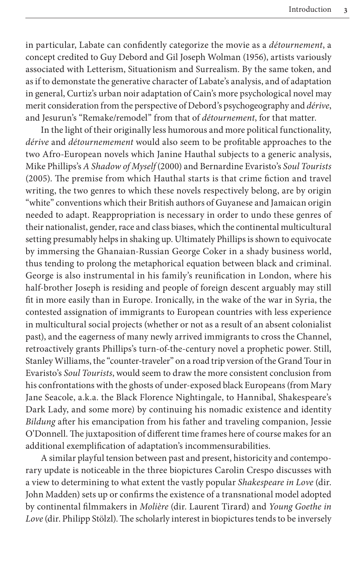in particular, Labate can confidently categorize the movie as a *détournement*, a concept credited to Guy Debord and Gil Joseph Wolman (1956), artists variously associated with Letterism, Situationism and Surrealism. By the same token, and as if to demonstate the generative character of Labate's analysis, and of adaptation in general, Curtiz's urban noir adaptation of Cain's more psychological novel may merit consideration from the perspective of Debord's psychogeography and *dérive*, and Jesurun's "Remake/remodel" from that of *détournement*, for that matter.

In the light of their originally less humorous and more political functionality, *dérive* and *détournemement* would also seem to be profitable approaches to the two Afro-European novels which Janine Hauthal subjects to a generic analysis, Mike Phillips's *A Shadow of Myself* (2000) and Bernardine Evaristo's *Soul Tourists* (2005). The premise from which Hauthal starts is that crime fiction and travel writing, the two genres to which these novels respectively belong, are by origin "white" conventions which their British authors of Guyanese and Jamaican origin needed to adapt. Reappropriation is necessary in order to undo these genres of their nationalist, gender, race and class biases, which the continental multicultural setting presumably helps in shaking up. Ultimately Phillips is shown to equivocate by immersing the Ghanaian-Russian George Coker in a shady business world, thus tending to prolong the metaphorical equation between black and criminal. George is also instrumental in his family's reunification in London, where his half-brother Joseph is residing and people of foreign descent arguably may still fit in more easily than in Europe. Ironically, in the wake of the war in Syria, the contested assignation of immigrants to European countries with less experience in multicultural social projects (whether or not as a result of an absent colonialist past), and the eagerness of many newly arrived immigrants to cross the Channel, retroactively grants Phillips's turn-of-the-century novel a prophetic power. Still, Stanley Williams, the "counter-traveler" on a road trip version of the Grand Tour in Evaristo's *Soul Tourists*, would seem to draw the more consistent conclusion from his confrontations with the ghosts of under-exposed black Europeans (from Mary Jane Seacole, a.k.a. the Black Florence Nightingale, to Hannibal, Shakespeare's Dark Lady, and some more) by continuing his nomadic existence and identity *Bildung* after his emancipation from his father and traveling companion, Jessie O'Donnell. The juxtaposition of different time frames here of course makes for an additional exemplification of adaptation's incommensurabilities.

A similar playful tension between past and present, historicity and contemporary update is noticeable in the three biopictures Carolin Crespo discusses with a view to determining to what extent the vastly popular *Shakespeare in Love* (dir. John Madden) sets up or confirms the existence of a transnational model adopted by continental filmmakers in *Molière* (dir. Laurent Tirard) and *Young Goethe in Love* (dir. Philipp Stölzl). The scholarly interest in biopictures tends to be inversely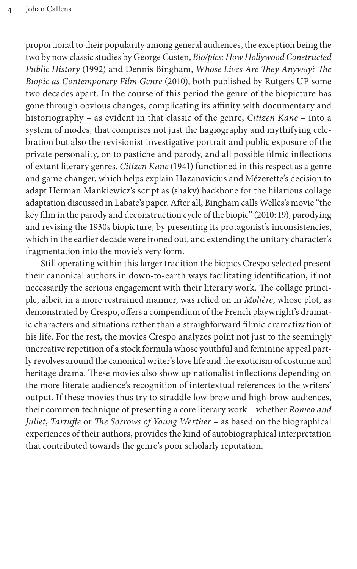proportional to their popularity among general audiences, the exception being the two by now classic studies by George Custen, *Bio/pics: How Hollywood Constructed Public History* (1992) and Dennis Bingham, *Whose Lives Are They Anyway? The Biopic as Contemporary Film Genre* (2010), both published by Rutgers UP some two decades apart. In the course of this period the genre of the biopicture has gone through obvious changes, complicating its affinity with documentary and historiography – as evident in that classic of the genre, *Citizen Kane* – into a system of modes, that comprises not just the hagiography and mythifying celebration but also the revisionist investigative portrait and public exposure of the private personality, on to pastiche and parody, and all possible filmic inflections of extant literary genres. *Citizen Kane* (1941) functioned in this respect as a genre and game changer, which helps explain Hazanavicius [and M](#page-4-0)ézerette's decision to adapt Herman Mankiewicz's script as (shaky) backbone for the hilarious collage adaptation discussed in Labate's paper. After all, Bingham calls Welles's movie "the key film in the parody and deconstruction cycle of the biopic" (2010:19), parodying and revising the 1930s biopicture, by presenting its protagonist's inconsistencies, which in the earlier decade were ironed out, and extending the unitary character's fragmentation into the movie's very form.

Still operating within this larger tradition the biopics Crespo selected present their canonical authors in down-to-earth ways facilitating identification, if not necessarily the serious engagement with their literary work. The collage principle, albeit in a more restrained manner, was relied on in *Molière*, whose plot, as demonstrated by Crespo, offers a compendium of the French playwright's dramatic characters and situations rather than a straighforward filmic dramatization of his life. For the rest, the movies Crespo analyzes point not just to the seemingly uncreative repetition of a stock formula whose youthful and feminine appeal partly revolves around the canonical writer's love life and the exoticism of costume and heritage drama. These movies also show up nationalist inflections depending on the more literate audience's recognition of intertextual references to the writers' output. If these movies thus try to straddle low-brow and high-brow audiences, their common technique of presenting a core literary work – whether *Romeo and Juliet*, *Tartuffe* or *The Sorrows of Young Werther* – as based on the biographical experiences of their authors, provides the kind of autobiographical interpretation that contributed towards the genre's poor scholarly reputation.